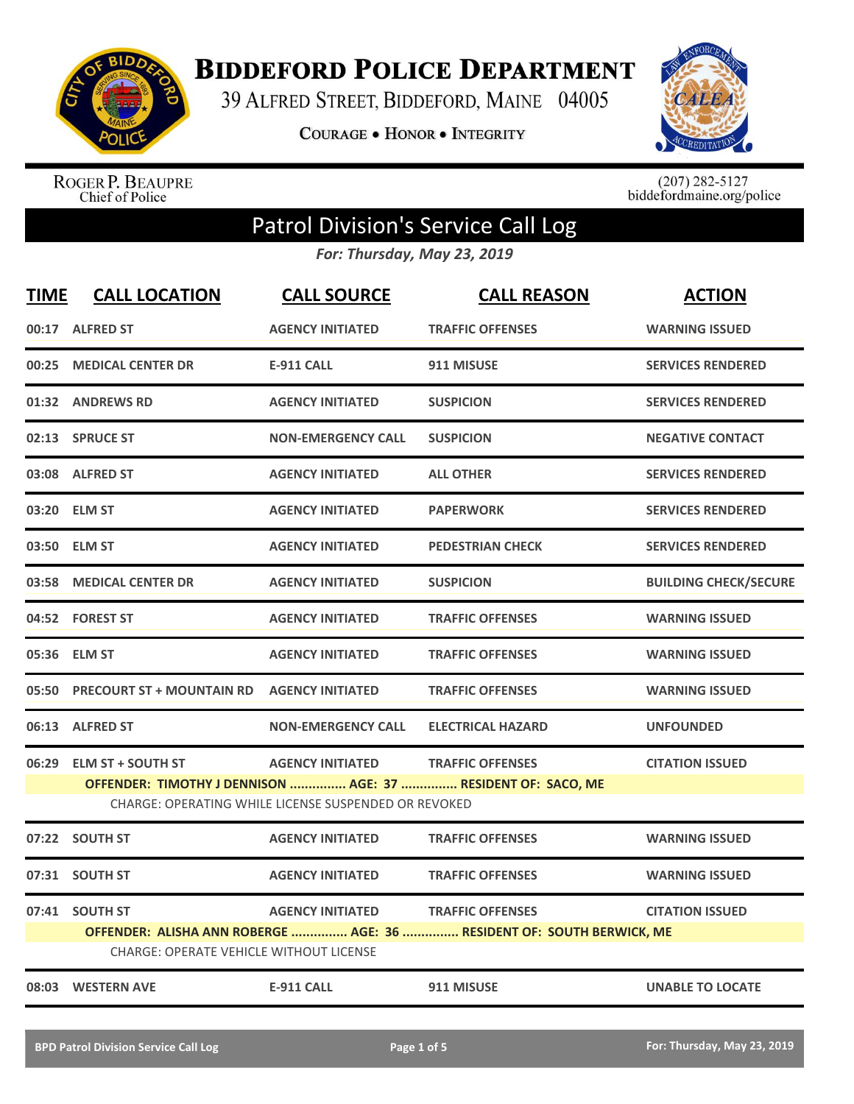

**BIDDEFORD POLICE DEPARTMENT** 

39 ALFRED STREET, BIDDEFORD, MAINE 04005

**COURAGE . HONOR . INTEGRITY** 



ROGER P. BEAUPRE<br>Chief of Police

 $(207)$  282-5127<br>biddefordmaine.org/police

## Patrol Division's Service Call Log

*For: Thursday, May 23, 2019*

| <b>TIME</b> | <b>CALL LOCATION</b>                                                                                                 | <b>CALL SOURCE</b>        | <b>CALL REASON</b>                                                    | <b>ACTION</b>                |  |
|-------------|----------------------------------------------------------------------------------------------------------------------|---------------------------|-----------------------------------------------------------------------|------------------------------|--|
|             | 00:17 ALFRED ST                                                                                                      | <b>AGENCY INITIATED</b>   | <b>TRAFFIC OFFENSES</b>                                               | <b>WARNING ISSUED</b>        |  |
| 00:25       | <b>MEDICAL CENTER DR</b>                                                                                             | <b>E-911 CALL</b>         | 911 MISUSE                                                            | <b>SERVICES RENDERED</b>     |  |
|             | 01:32 ANDREWS RD                                                                                                     | <b>AGENCY INITIATED</b>   | <b>SUSPICION</b>                                                      | <b>SERVICES RENDERED</b>     |  |
|             | 02:13 SPRUCE ST                                                                                                      | <b>NON-EMERGENCY CALL</b> | <b>SUSPICION</b>                                                      | <b>NEGATIVE CONTACT</b>      |  |
|             | 03:08 ALFRED ST                                                                                                      | <b>AGENCY INITIATED</b>   | <b>ALL OTHER</b>                                                      | <b>SERVICES RENDERED</b>     |  |
|             | 03:20 ELM ST                                                                                                         | <b>AGENCY INITIATED</b>   | <b>PAPERWORK</b>                                                      | <b>SERVICES RENDERED</b>     |  |
|             | 03:50 ELM ST                                                                                                         | <b>AGENCY INITIATED</b>   | <b>PEDESTRIAN CHECK</b>                                               | <b>SERVICES RENDERED</b>     |  |
|             | 03:58 MEDICAL CENTER DR                                                                                              | <b>AGENCY INITIATED</b>   | <b>SUSPICION</b>                                                      | <b>BUILDING CHECK/SECURE</b> |  |
|             | 04:52 FOREST ST                                                                                                      | <b>AGENCY INITIATED</b>   | <b>TRAFFIC OFFENSES</b>                                               | <b>WARNING ISSUED</b>        |  |
|             | 05:36 ELM ST                                                                                                         | <b>AGENCY INITIATED</b>   | <b>TRAFFIC OFFENSES</b>                                               | <b>WARNING ISSUED</b>        |  |
|             | 05:50 PRECOURT ST + MOUNTAIN RD AGENCY INITIATED                                                                     |                           | <b>TRAFFIC OFFENSES</b>                                               | <b>WARNING ISSUED</b>        |  |
|             | 06:13 ALFRED ST                                                                                                      | <b>NON-EMERGENCY CALL</b> | <b>ELECTRICAL HAZARD</b>                                              | <b>UNFOUNDED</b>             |  |
|             | 06:29 ELM ST + SOUTH ST                                                                                              | <b>AGENCY INITIATED</b>   | <b>TRAFFIC OFFENSES</b>                                               | <b>CITATION ISSUED</b>       |  |
|             | OFFENDER: TIMOTHY J DENNISON  AGE: 37  RESIDENT OF: SACO, ME<br>CHARGE: OPERATING WHILE LICENSE SUSPENDED OR REVOKED |                           |                                                                       |                              |  |
|             | 07:22 SOUTH ST                                                                                                       | <b>AGENCY INITIATED</b>   | <b>TRAFFIC OFFENSES</b>                                               | <b>WARNING ISSUED</b>        |  |
|             | 07:31 SOUTH ST                                                                                                       | <b>AGENCY INITIATED</b>   | <b>TRAFFIC OFFENSES</b>                                               | <b>WARNING ISSUED</b>        |  |
|             | 07:41 SOUTH ST                                                                                                       | <b>AGENCY INITIATED</b>   | <b>TRAFFIC OFFENSES</b>                                               | <b>CITATION ISSUED</b>       |  |
|             | CHARGE: OPERATE VEHICLE WITHOUT LICENSE                                                                              |                           | OFFENDER: ALISHA ANN ROBERGE  AGE: 36  RESIDENT OF: SOUTH BERWICK, ME |                              |  |
|             | 08:03 WESTERN AVE                                                                                                    | <b>E-911 CALL</b>         | 911 MISUSE                                                            | <b>UNABLE TO LOCATE</b>      |  |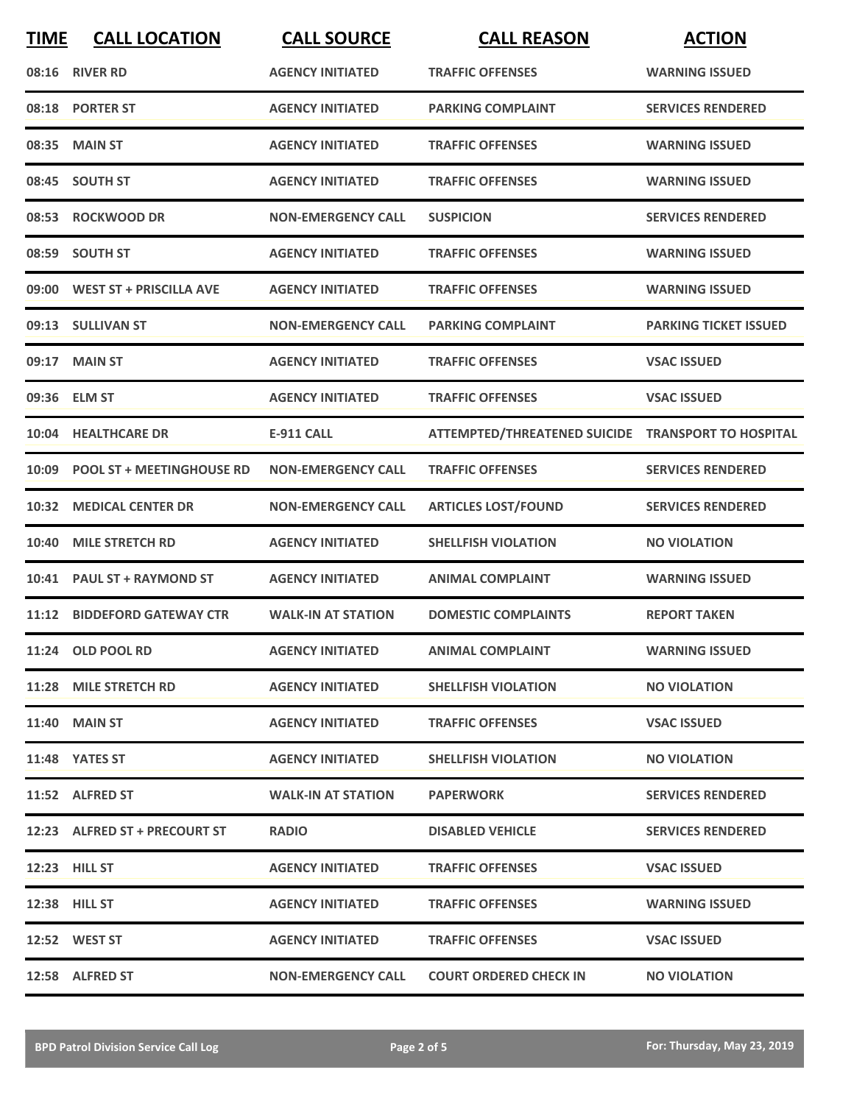| <b>TIME</b> | <b>CALL LOCATION</b>             | <b>CALL SOURCE</b>        | <b>CALL REASON</b>                                 | <b>ACTION</b>                |
|-------------|----------------------------------|---------------------------|----------------------------------------------------|------------------------------|
|             | 08:16 RIVER RD                   | <b>AGENCY INITIATED</b>   | <b>TRAFFIC OFFENSES</b>                            | <b>WARNING ISSUED</b>        |
|             | 08:18 PORTER ST                  | <b>AGENCY INITIATED</b>   | <b>PARKING COMPLAINT</b>                           | <b>SERVICES RENDERED</b>     |
| 08:35       | <b>MAIN ST</b>                   | <b>AGENCY INITIATED</b>   | <b>TRAFFIC OFFENSES</b>                            | <b>WARNING ISSUED</b>        |
|             | 08:45 SOUTH ST                   | <b>AGENCY INITIATED</b>   | <b>TRAFFIC OFFENSES</b>                            | <b>WARNING ISSUED</b>        |
|             | 08:53 ROCKWOOD DR                | <b>NON-EMERGENCY CALL</b> | <b>SUSPICION</b>                                   | <b>SERVICES RENDERED</b>     |
|             | 08:59 SOUTH ST                   | <b>AGENCY INITIATED</b>   | <b>TRAFFIC OFFENSES</b>                            | <b>WARNING ISSUED</b>        |
| 09:00       | <b>WEST ST + PRISCILLA AVE</b>   | <b>AGENCY INITIATED</b>   | <b>TRAFFIC OFFENSES</b>                            | <b>WARNING ISSUED</b>        |
|             | 09:13 SULLIVAN ST                | <b>NON-EMERGENCY CALL</b> | <b>PARKING COMPLAINT</b>                           | <b>PARKING TICKET ISSUED</b> |
|             | 09:17 MAIN ST                    | <b>AGENCY INITIATED</b>   | <b>TRAFFIC OFFENSES</b>                            | <b>VSAC ISSUED</b>           |
|             | 09:36 ELM ST                     | <b>AGENCY INITIATED</b>   | <b>TRAFFIC OFFENSES</b>                            | <b>VSAC ISSUED</b>           |
|             | 10:04 HEALTHCARE DR              | <b>E-911 CALL</b>         | ATTEMPTED/THREATENED SUICIDE TRANSPORT TO HOSPITAL |                              |
| 10:09       | <b>POOL ST + MEETINGHOUSE RD</b> | <b>NON-EMERGENCY CALL</b> | <b>TRAFFIC OFFENSES</b>                            | <b>SERVICES RENDERED</b>     |
| 10:32       | <b>MEDICAL CENTER DR</b>         | <b>NON-EMERGENCY CALL</b> | <b>ARTICLES LOST/FOUND</b>                         | <b>SERVICES RENDERED</b>     |
| 10:40       | <b>MILE STRETCH RD</b>           | <b>AGENCY INITIATED</b>   | <b>SHELLFISH VIOLATION</b>                         | <b>NO VIOLATION</b>          |
| 10:41       | <b>PAUL ST + RAYMOND ST</b>      | <b>AGENCY INITIATED</b>   | <b>ANIMAL COMPLAINT</b>                            | <b>WARNING ISSUED</b>        |
|             | 11:12 BIDDEFORD GATEWAY CTR      | <b>WALK-IN AT STATION</b> | <b>DOMESTIC COMPLAINTS</b>                         | <b>REPORT TAKEN</b>          |
|             | 11:24 OLD POOL RD                | <b>AGENCY INITIATED</b>   | <b>ANIMAL COMPLAINT</b>                            | <b>WARNING ISSUED</b>        |
|             | 11:28 MILE STRETCH RD            | <b>AGENCY INITIATED</b>   | <b>SHELLFISH VIOLATION</b>                         | <b>NO VIOLATION</b>          |
|             | <b>11:40 MAIN ST</b>             | <b>AGENCY INITIATED</b>   | <b>TRAFFIC OFFENSES</b>                            | <b>VSAC ISSUED</b>           |
|             | 11:48 YATES ST                   | <b>AGENCY INITIATED</b>   | <b>SHELLFISH VIOLATION</b>                         | <b>NO VIOLATION</b>          |
|             | 11:52 ALFRED ST                  | <b>WALK-IN AT STATION</b> | <b>PAPERWORK</b>                                   | <b>SERVICES RENDERED</b>     |
|             | 12:23 ALFRED ST + PRECOURT ST    | <b>RADIO</b>              | <b>DISABLED VEHICLE</b>                            | <b>SERVICES RENDERED</b>     |
|             | <b>12:23 HILL ST</b>             | <b>AGENCY INITIATED</b>   | <b>TRAFFIC OFFENSES</b>                            | <b>VSAC ISSUED</b>           |
|             | <b>12:38 HILL ST</b>             | <b>AGENCY INITIATED</b>   | <b>TRAFFIC OFFENSES</b>                            | <b>WARNING ISSUED</b>        |
|             | 12:52 WEST ST                    | <b>AGENCY INITIATED</b>   | <b>TRAFFIC OFFENSES</b>                            | <b>VSAC ISSUED</b>           |
|             | 12:58 ALFRED ST                  | <b>NON-EMERGENCY CALL</b> | <b>COURT ORDERED CHECK IN</b>                      | <b>NO VIOLATION</b>          |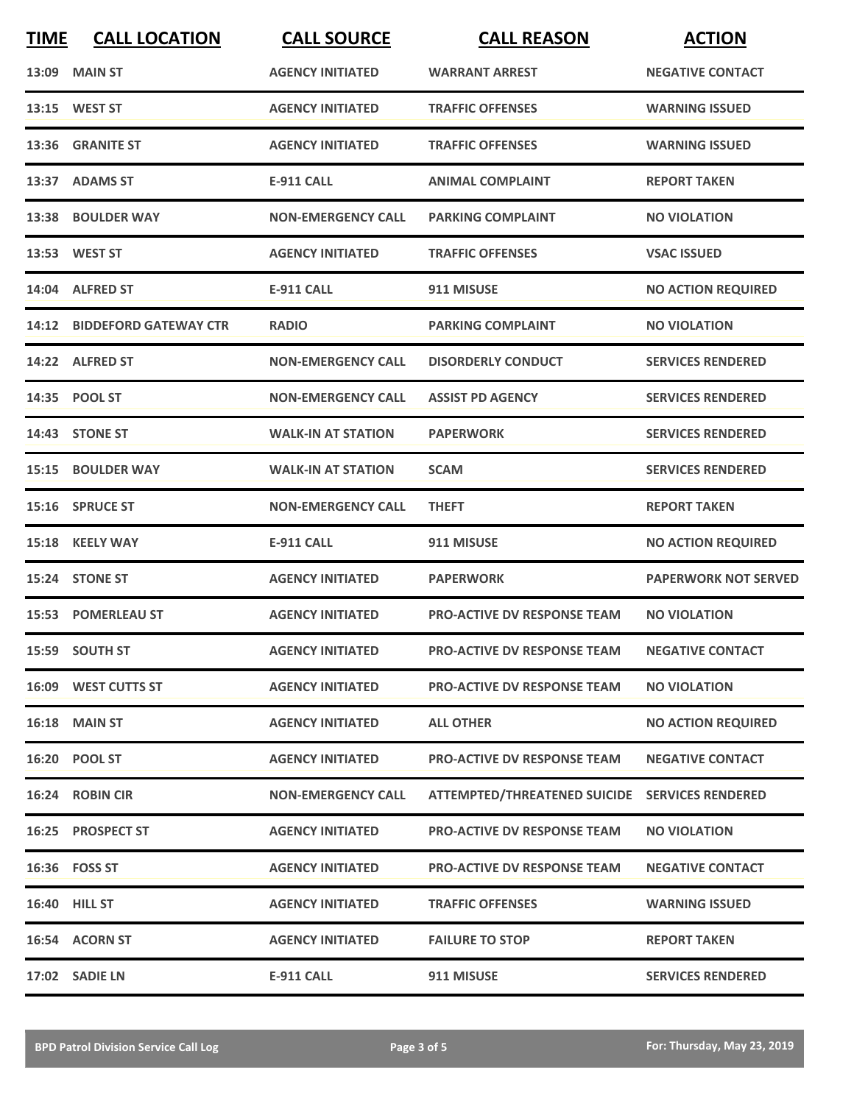| <b>TIME</b> | <b>CALL LOCATION</b>        | <b>CALL SOURCE</b>        | <b>CALL REASON</b>                             | <b>ACTION</b>               |
|-------------|-----------------------------|---------------------------|------------------------------------------------|-----------------------------|
|             | <b>13:09 MAIN ST</b>        | <b>AGENCY INITIATED</b>   | <b>WARRANT ARREST</b>                          | <b>NEGATIVE CONTACT</b>     |
|             | 13:15 WEST ST               | <b>AGENCY INITIATED</b>   | <b>TRAFFIC OFFENSES</b>                        | <b>WARNING ISSUED</b>       |
|             | 13:36 GRANITE ST            | <b>AGENCY INITIATED</b>   | <b>TRAFFIC OFFENSES</b>                        | <b>WARNING ISSUED</b>       |
|             | 13:37 ADAMS ST              | <b>E-911 CALL</b>         | <b>ANIMAL COMPLAINT</b>                        | <b>REPORT TAKEN</b>         |
|             | 13:38 BOULDER WAY           | <b>NON-EMERGENCY CALL</b> | <b>PARKING COMPLAINT</b>                       | <b>NO VIOLATION</b>         |
|             | 13:53 WEST ST               | <b>AGENCY INITIATED</b>   | <b>TRAFFIC OFFENSES</b>                        | <b>VSAC ISSUED</b>          |
|             | 14:04 ALFRED ST             | <b>E-911 CALL</b>         | 911 MISUSE                                     | <b>NO ACTION REQUIRED</b>   |
|             | 14:12 BIDDEFORD GATEWAY CTR | <b>RADIO</b>              | <b>PARKING COMPLAINT</b>                       | <b>NO VIOLATION</b>         |
|             | 14:22 ALFRED ST             | <b>NON-EMERGENCY CALL</b> | <b>DISORDERLY CONDUCT</b>                      | <b>SERVICES RENDERED</b>    |
|             | 14:35 POOL ST               | <b>NON-EMERGENCY CALL</b> | <b>ASSIST PD AGENCY</b>                        | <b>SERVICES RENDERED</b>    |
|             | 14:43 STONE ST              | <b>WALK-IN AT STATION</b> | <b>PAPERWORK</b>                               | <b>SERVICES RENDERED</b>    |
| 15:15       | <b>BOULDER WAY</b>          | <b>WALK-IN AT STATION</b> | <b>SCAM</b>                                    | <b>SERVICES RENDERED</b>    |
|             | 15:16 SPRUCE ST             | <b>NON-EMERGENCY CALL</b> | <b>THEFT</b>                                   | <b>REPORT TAKEN</b>         |
|             | 15:18 KEELY WAY             | <b>E-911 CALL</b>         | 911 MISUSE                                     | <b>NO ACTION REQUIRED</b>   |
|             | 15:24 STONE ST              | <b>AGENCY INITIATED</b>   | <b>PAPERWORK</b>                               | <b>PAPERWORK NOT SERVED</b> |
|             | <b>15:53 POMERLEAU ST</b>   | <b>AGENCY INITIATED</b>   | <b>PRO-ACTIVE DV RESPONSE TEAM</b>             | <b>NO VIOLATION</b>         |
|             | 15:59 SOUTH ST              | <b>AGENCY INITIATED</b>   | PRO-ACTIVE DV RESPONSE TEAM                    | <b>NEGATIVE CONTACT</b>     |
|             | 16:09 WEST CUTTS ST         | <b>AGENCY INITIATED</b>   | <b>PRO-ACTIVE DV RESPONSE TEAM</b>             | <b>NO VIOLATION</b>         |
|             | <b>16:18 MAIN ST</b>        | <b>AGENCY INITIATED</b>   | <b>ALL OTHER</b>                               | <b>NO ACTION REQUIRED</b>   |
|             | 16:20 POOL ST               | <b>AGENCY INITIATED</b>   | <b>PRO-ACTIVE DV RESPONSE TEAM</b>             | <b>NEGATIVE CONTACT</b>     |
|             | 16:24 ROBIN CIR             | <b>NON-EMERGENCY CALL</b> | ATTEMPTED/THREATENED SUICIDE SERVICES RENDERED |                             |
|             | 16:25 PROSPECT ST           | <b>AGENCY INITIATED</b>   | PRO-ACTIVE DV RESPONSE TEAM                    | <b>NO VIOLATION</b>         |
|             | 16:36    FOSS ST            | <b>AGENCY INITIATED</b>   | <b>PRO-ACTIVE DV RESPONSE TEAM</b>             | <b>NEGATIVE CONTACT</b>     |
|             | 16:40 HILL ST               | <b>AGENCY INITIATED</b>   | <b>TRAFFIC OFFENSES</b>                        | <b>WARNING ISSUED</b>       |
|             | 16:54 ACORN ST              | <b>AGENCY INITIATED</b>   | <b>FAILURE TO STOP</b>                         | <b>REPORT TAKEN</b>         |
|             | 17:02 SADIE LN              | <b>E-911 CALL</b>         | 911 MISUSE                                     | <b>SERVICES RENDERED</b>    |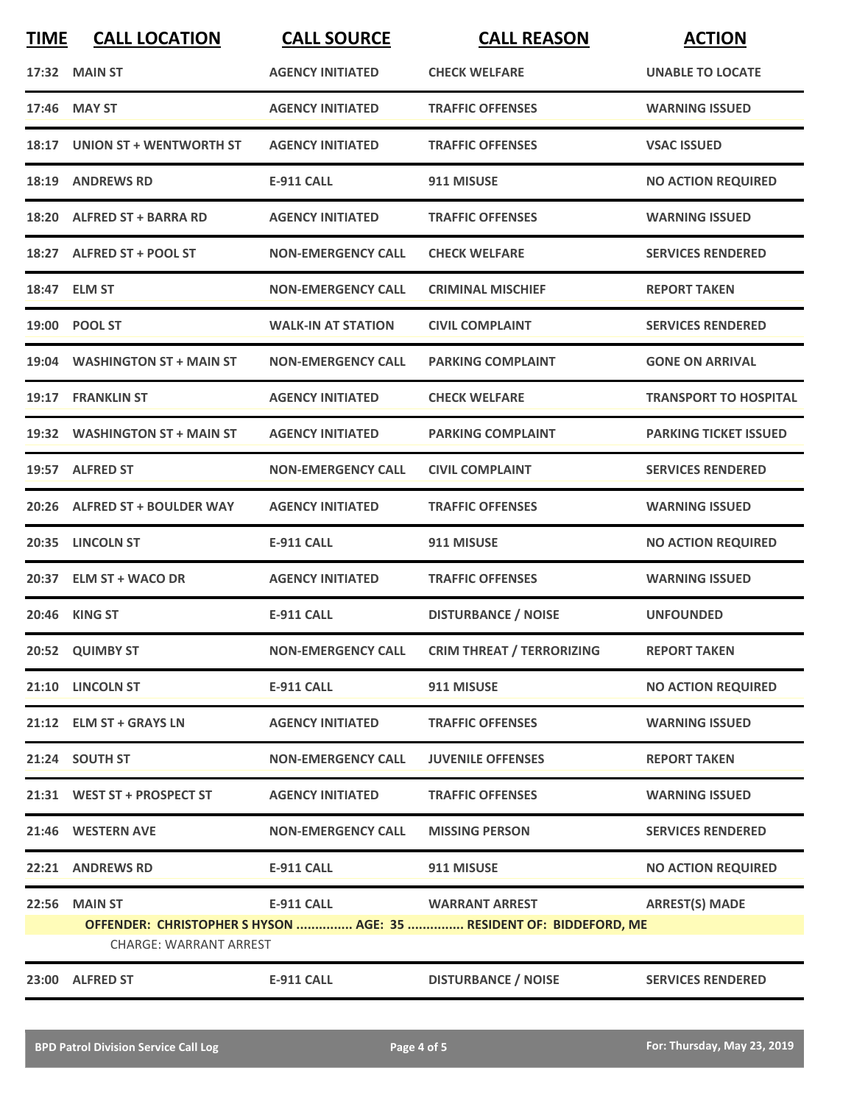| <b>TIME</b>                                                                                         | <b>CALL LOCATION</b>           | <b>CALL SOURCE</b>        | <b>CALL REASON</b>                           | <b>ACTION</b>                |
|-----------------------------------------------------------------------------------------------------|--------------------------------|---------------------------|----------------------------------------------|------------------------------|
|                                                                                                     | 17:32 MAIN ST                  | <b>AGENCY INITIATED</b>   | <b>CHECK WELFARE</b>                         | <b>UNABLE TO LOCATE</b>      |
|                                                                                                     | 17:46 MAY ST                   | <b>AGENCY INITIATED</b>   | <b>TRAFFIC OFFENSES</b>                      | <b>WARNING ISSUED</b>        |
|                                                                                                     | 18:17 UNION ST + WENTWORTH ST  | <b>AGENCY INITIATED</b>   | <b>TRAFFIC OFFENSES</b>                      | <b>VSAC ISSUED</b>           |
| 18:19                                                                                               | <b>ANDREWS RD</b>              | <b>E-911 CALL</b>         | 911 MISUSE                                   | <b>NO ACTION REQUIRED</b>    |
|                                                                                                     | 18:20 ALFRED ST + BARRA RD     | <b>AGENCY INITIATED</b>   | <b>TRAFFIC OFFENSES</b>                      | <b>WARNING ISSUED</b>        |
|                                                                                                     | 18:27 ALFRED ST + POOL ST      | <b>NON-EMERGENCY CALL</b> | <b>CHECK WELFARE</b>                         | <b>SERVICES RENDERED</b>     |
|                                                                                                     | 18:47 ELM ST                   | <b>NON-EMERGENCY CALL</b> | <b>CRIMINAL MISCHIEF</b>                     | <b>REPORT TAKEN</b>          |
|                                                                                                     | 19:00 POOL ST                  | <b>WALK-IN AT STATION</b> | <b>CIVIL COMPLAINT</b>                       | <b>SERVICES RENDERED</b>     |
| 19:04                                                                                               | <b>WASHINGTON ST + MAIN ST</b> | <b>NON-EMERGENCY CALL</b> | <b>PARKING COMPLAINT</b>                     | <b>GONE ON ARRIVAL</b>       |
| 19:17                                                                                               | <b>FRANKLIN ST</b>             | <b>AGENCY INITIATED</b>   | <b>CHECK WELFARE</b>                         | <b>TRANSPORT TO HOSPITAL</b> |
|                                                                                                     | 19:32 WASHINGTON ST + MAIN ST  | <b>AGENCY INITIATED</b>   | <b>PARKING COMPLAINT</b>                     | <b>PARKING TICKET ISSUED</b> |
|                                                                                                     | 19:57 ALFRED ST                | <b>NON-EMERGENCY CALL</b> | <b>CIVIL COMPLAINT</b>                       | <b>SERVICES RENDERED</b>     |
| 20:26                                                                                               | <b>ALFRED ST + BOULDER WAY</b> | <b>AGENCY INITIATED</b>   | <b>TRAFFIC OFFENSES</b>                      | <b>WARNING ISSUED</b>        |
| 20:35                                                                                               | <b>LINCOLN ST</b>              | <b>E-911 CALL</b>         | 911 MISUSE                                   | <b>NO ACTION REQUIRED</b>    |
|                                                                                                     | 20:37 ELM ST + WACO DR         | <b>AGENCY INITIATED</b>   | <b>TRAFFIC OFFENSES</b>                      | <b>WARNING ISSUED</b>        |
|                                                                                                     | 20:46 KING ST                  | <b>E-911 CALL</b>         | <b>DISTURBANCE / NOISE</b>                   | <b>UNFOUNDED</b>             |
|                                                                                                     | 20:52 QUIMBY ST                |                           | NON-EMERGENCY CALL CRIM THREAT / TERRORIZING | <b>REPORT TAKEN</b>          |
|                                                                                                     | 21:10 LINCOLN ST               | <b>E-911 CALL</b>         | 911 MISUSE                                   | <b>NO ACTION REQUIRED</b>    |
|                                                                                                     | 21:12 ELM ST + GRAYS LN        | <b>AGENCY INITIATED</b>   | <b>TRAFFIC OFFENSES</b>                      | <b>WARNING ISSUED</b>        |
|                                                                                                     | 21:24 SOUTH ST                 | <b>NON-EMERGENCY CALL</b> | <b>JUVENILE OFFENSES</b>                     | <b>REPORT TAKEN</b>          |
|                                                                                                     | 21:31 WEST ST + PROSPECT ST    | <b>AGENCY INITIATED</b>   | <b>TRAFFIC OFFENSES</b>                      | <b>WARNING ISSUED</b>        |
|                                                                                                     | 21:46 WESTERN AVE              | <b>NON-EMERGENCY CALL</b> | <b>MISSING PERSON</b>                        | <b>SERVICES RENDERED</b>     |
|                                                                                                     | 22:21 ANDREWS RD               | <b>E-911 CALL</b>         | 911 MISUSE                                   | <b>NO ACTION REQUIRED</b>    |
| 22:56                                                                                               | <b>MAIN ST</b>                 | <b>E-911 CALL</b>         | <b>WARRANT ARREST</b>                        | <b>ARREST(S) MADE</b>        |
| OFFENDER: CHRISTOPHER S HYSON  AGE: 35  RESIDENT OF: BIDDEFORD, ME<br><b>CHARGE: WARRANT ARREST</b> |                                |                           |                                              |                              |
|                                                                                                     | 23:00 ALFRED ST                | <b>E-911 CALL</b>         | <b>DISTURBANCE / NOISE</b>                   | <b>SERVICES RENDERED</b>     |